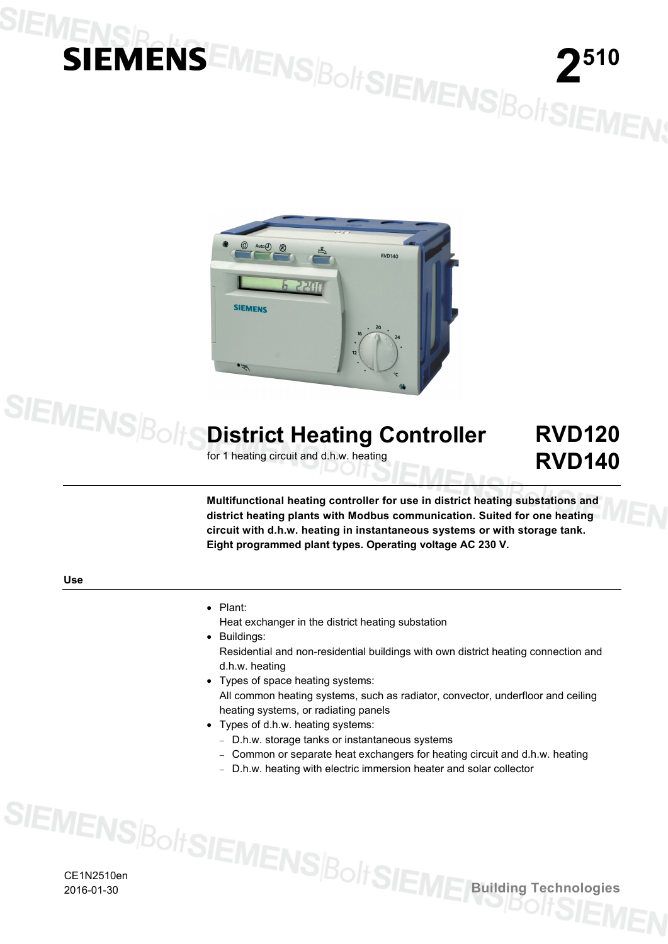# **1ENSIDENSEMENS BoltSIEMENS BoltSIEMEN;**



# **District Heating Controller**

for 1 heating circuit and d.h.w. heating

# **RVD120 RVD140**

**Multifunctional heating controller for use in district heating substations and district heating plants with Modbus communication. Suited for one heating circuit with d.h.w. heating in instantaneous systems or with storage tank. Eight programmed plant types. Operating voltage AC 230 V.**

### **Use**

**SIEMENS**Bolt

• Plant:

Heat exchanger in the district heating substation

- Buildings: Residential and non-residential buildings with own district heating connection and d.h.w. heating
- Types of space heating systems: All common heating systems, such as radiator, convector, underfloor and ceiling heating systems, or radiating panels
- Types of d.h.w. heating systems:
	- − D.h.w. storage tanks or instantaneous systems
	- − Common or separate heat exchangers for heating circuit and d.h.w. heating
	- − D.h.w. heating with electric immersion heater and solar collector

CE1N2510en 2016-01-30 **Building Technologies**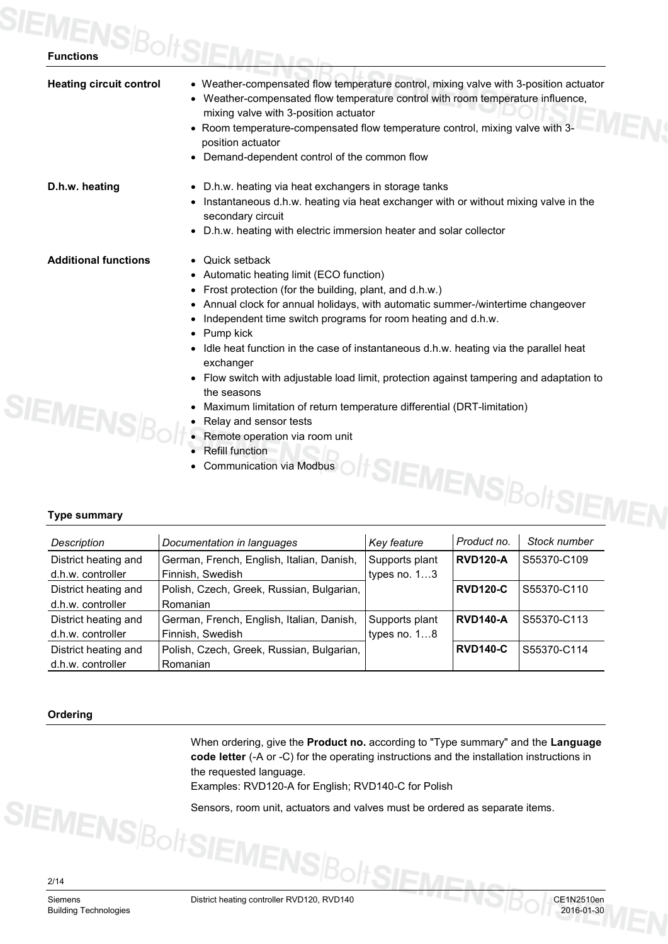| <b>Heating circuit control</b> | • Weather-compensated flow temperature control, mixing valve with 3-position actuator<br>• Weather-compensated flow temperature control with room temperature influence,<br>mixing valve with 3-position actuator |
|--------------------------------|-------------------------------------------------------------------------------------------------------------------------------------------------------------------------------------------------------------------|
|                                | • Room temperature-compensated flow temperature control, mixing valve with 3-<br>position actuator                                                                                                                |
|                                | • Demand-dependent control of the common flow                                                                                                                                                                     |
| D.h.w. heating                 | • D.h.w. heating via heat exchangers in storage tanks                                                                                                                                                             |
|                                | Instantaneous d.h.w. heating via heat exchanger with or without mixing valve in the<br>secondary circuit                                                                                                          |
|                                | D.h.w. heating with electric immersion heater and solar collector<br>$\bullet$                                                                                                                                    |
| <b>Additional functions</b>    | • Quick setback                                                                                                                                                                                                   |
|                                | Automatic heating limit (ECO function)                                                                                                                                                                            |
|                                | Frost protection (for the building, plant, and d.h.w.)                                                                                                                                                            |
|                                | Annual clock for annual holidays, with automatic summer-/wintertime changeover                                                                                                                                    |
|                                | Independent time switch programs for room heating and d.h.w.                                                                                                                                                      |
|                                | Pump kick                                                                                                                                                                                                         |
|                                | Idle heat function in the case of instantaneous d.h.w. heating via the parallel heat<br>exchanger                                                                                                                 |
|                                | Flow switch with adjustable load limit, protection against tampering and adaptation to                                                                                                                            |
|                                | the seasons                                                                                                                                                                                                       |
|                                | Maximum limitation of return temperature differential (DRT-limitation)                                                                                                                                            |
| <b><i>SIEMEN</i></b>           | Relay and sensor tests                                                                                                                                                                                            |
|                                | Demate energtien vie reem unit                                                                                                                                                                                    |

- Remote operation via room unit
- Refill function
- Communication via Modbus

# **Type summary**

|                                           | • Refill function<br><b>Communication via Modbus</b><br>$\bullet$ |                |                 |                       |
|-------------------------------------------|-------------------------------------------------------------------|----------------|-----------------|-----------------------|
|                                           |                                                                   |                |                 |                       |
| <b>Type summary</b>                       |                                                                   |                |                 | oltSIEMENS BoltSIEMEN |
| Description                               | Documentation in languages                                        | Key feature    | Product no.     | Stock number          |
| District heating and                      | German, French, English, Italian, Danish,                         | Supports plant | <b>RVD120-A</b> | S55370-C109           |
| d.h.w. controller                         | Finnish, Swedish                                                  | types no. $13$ |                 |                       |
| District heating and<br>d.h.w. controller | Polish, Czech, Greek, Russian, Bulgarian,<br>Romanian             |                | <b>RVD120-C</b> | S55370-C110           |
| District heating and                      | German, French, English, Italian, Danish,                         | Supports plant | <b>RVD140-A</b> | S55370-C113           |
| d.h.w. controller                         | Finnish, Swedish                                                  | types no. $18$ |                 |                       |
| District heating and                      | Polish, Czech, Greek, Russian, Bulgarian,                         |                | <b>RVD140-C</b> | S55370-C114           |
| d.h.w. controller                         | Romanian                                                          |                |                 |                       |

# **Ordering**

When ordering, give the **Product no.** according to "Type summary" and the **Language code letter** (-A or -C) for the operating instructions and the installation instructions in the requested language.

Examples: RVD120-A for English; RVD140-C for Polish

**IENS**BoltSIEN

Sensors, room unit, actuators and valves must be ordered as separate items.

2/14

Siemens District heating controller RVD120, RVD140<br>Building Technologies 2016-01-30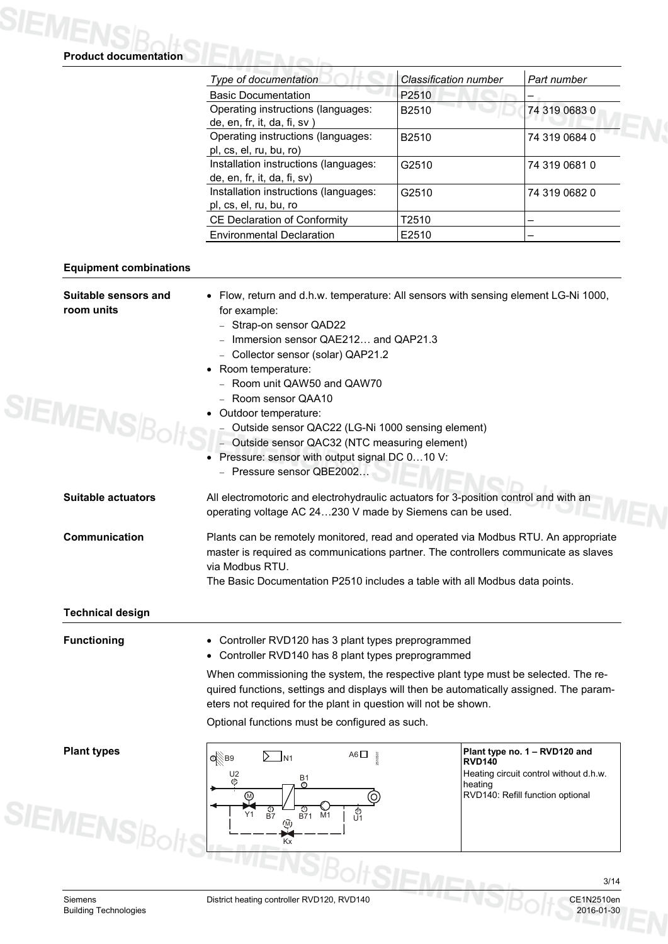S

S

| <b>Equipment combinations</b><br>Suitable sensors and<br>room units<br><b>IEMENSB</b><br><b>Suitable actuators</b> | <b>Basic Documentation</b><br>Operating instructions (languages:<br>de, en, fr, it, da, fi, sv)<br>Operating instructions (languages:<br>pl, cs, el, ru, bu, ro)<br>Installation instructions (languages:<br>de, en, fr, it, da, fi, sv)<br>Installation instructions (languages:<br>pl, cs, el, ru, bu, ro<br>CE Declaration of Conformity<br><b>Environmental Declaration</b><br>• Flow, return and d.h.w. temperature: All sensors with sensing element LG-Ni 1000,<br>for example:<br>- Strap-on sensor QAD22<br>- Immersion sensor QAE212 and QAP21.3<br>- Collector sensor (solar) QAP21.2<br>Room temperature:<br>- Room unit QAW50 and QAW70<br>- Room sensor QAA10 | P2510<br>B2510<br>B2510<br>G2510<br>G2510<br>T2510<br>E2510 | 74 319 0683 0<br>74 319 0684 0<br>74 319 0681 0<br>74 319 0682 0 |  |  |  |  |
|--------------------------------------------------------------------------------------------------------------------|-----------------------------------------------------------------------------------------------------------------------------------------------------------------------------------------------------------------------------------------------------------------------------------------------------------------------------------------------------------------------------------------------------------------------------------------------------------------------------------------------------------------------------------------------------------------------------------------------------------------------------------------------------------------------------|-------------------------------------------------------------|------------------------------------------------------------------|--|--|--|--|
|                                                                                                                    |                                                                                                                                                                                                                                                                                                                                                                                                                                                                                                                                                                                                                                                                             |                                                             |                                                                  |  |  |  |  |
|                                                                                                                    |                                                                                                                                                                                                                                                                                                                                                                                                                                                                                                                                                                                                                                                                             |                                                             |                                                                  |  |  |  |  |
|                                                                                                                    |                                                                                                                                                                                                                                                                                                                                                                                                                                                                                                                                                                                                                                                                             |                                                             |                                                                  |  |  |  |  |
|                                                                                                                    |                                                                                                                                                                                                                                                                                                                                                                                                                                                                                                                                                                                                                                                                             |                                                             |                                                                  |  |  |  |  |
|                                                                                                                    |                                                                                                                                                                                                                                                                                                                                                                                                                                                                                                                                                                                                                                                                             |                                                             |                                                                  |  |  |  |  |
|                                                                                                                    |                                                                                                                                                                                                                                                                                                                                                                                                                                                                                                                                                                                                                                                                             |                                                             |                                                                  |  |  |  |  |
|                                                                                                                    |                                                                                                                                                                                                                                                                                                                                                                                                                                                                                                                                                                                                                                                                             |                                                             |                                                                  |  |  |  |  |
|                                                                                                                    |                                                                                                                                                                                                                                                                                                                                                                                                                                                                                                                                                                                                                                                                             |                                                             |                                                                  |  |  |  |  |
|                                                                                                                    |                                                                                                                                                                                                                                                                                                                                                                                                                                                                                                                                                                                                                                                                             |                                                             |                                                                  |  |  |  |  |
|                                                                                                                    |                                                                                                                                                                                                                                                                                                                                                                                                                                                                                                                                                                                                                                                                             |                                                             |                                                                  |  |  |  |  |
|                                                                                                                    |                                                                                                                                                                                                                                                                                                                                                                                                                                                                                                                                                                                                                                                                             |                                                             |                                                                  |  |  |  |  |
|                                                                                                                    |                                                                                                                                                                                                                                                                                                                                                                                                                                                                                                                                                                                                                                                                             |                                                             |                                                                  |  |  |  |  |
|                                                                                                                    |                                                                                                                                                                                                                                                                                                                                                                                                                                                                                                                                                                                                                                                                             |                                                             |                                                                  |  |  |  |  |
|                                                                                                                    |                                                                                                                                                                                                                                                                                                                                                                                                                                                                                                                                                                                                                                                                             |                                                             |                                                                  |  |  |  |  |
|                                                                                                                    |                                                                                                                                                                                                                                                                                                                                                                                                                                                                                                                                                                                                                                                                             |                                                             |                                                                  |  |  |  |  |
|                                                                                                                    |                                                                                                                                                                                                                                                                                                                                                                                                                                                                                                                                                                                                                                                                             |                                                             |                                                                  |  |  |  |  |
|                                                                                                                    | • Outdoor temperature:                                                                                                                                                                                                                                                                                                                                                                                                                                                                                                                                                                                                                                                      |                                                             |                                                                  |  |  |  |  |
|                                                                                                                    | - Outside sensor QAC22 (LG-Ni 1000 sensing element)                                                                                                                                                                                                                                                                                                                                                                                                                                                                                                                                                                                                                         |                                                             |                                                                  |  |  |  |  |
|                                                                                                                    | - Outside sensor QAC32 (NTC measuring element)                                                                                                                                                                                                                                                                                                                                                                                                                                                                                                                                                                                                                              |                                                             |                                                                  |  |  |  |  |
|                                                                                                                    | Pressure: sensor with output signal DC 010 V:                                                                                                                                                                                                                                                                                                                                                                                                                                                                                                                                                                                                                               |                                                             |                                                                  |  |  |  |  |
|                                                                                                                    | - Pressure sensor QBE2002                                                                                                                                                                                                                                                                                                                                                                                                                                                                                                                                                                                                                                                   |                                                             |                                                                  |  |  |  |  |
|                                                                                                                    | All electromotoric and electrohydraulic actuators for 3-position control and with an                                                                                                                                                                                                                                                                                                                                                                                                                                                                                                                                                                                        |                                                             |                                                                  |  |  |  |  |
|                                                                                                                    | operating voltage AC 24230 V made by Siemens can be used.                                                                                                                                                                                                                                                                                                                                                                                                                                                                                                                                                                                                                   |                                                             |                                                                  |  |  |  |  |
| Communication                                                                                                      | Plants can be remotely monitored, read and operated via Modbus RTU. An appropriate<br>master is required as communications partner. The controllers communicate as slaves<br>via Modbus RTU.                                                                                                                                                                                                                                                                                                                                                                                                                                                                                |                                                             |                                                                  |  |  |  |  |
|                                                                                                                    | The Basic Documentation P2510 includes a table with all Modbus data points.                                                                                                                                                                                                                                                                                                                                                                                                                                                                                                                                                                                                 |                                                             |                                                                  |  |  |  |  |
| <b>Technical design</b>                                                                                            |                                                                                                                                                                                                                                                                                                                                                                                                                                                                                                                                                                                                                                                                             |                                                             |                                                                  |  |  |  |  |
| <b>Functioning</b>                                                                                                 | Controller RVD120 has 3 plant types preprogrammed                                                                                                                                                                                                                                                                                                                                                                                                                                                                                                                                                                                                                           |                                                             |                                                                  |  |  |  |  |
|                                                                                                                    | • Controller RVD140 has 8 plant types preprogrammed                                                                                                                                                                                                                                                                                                                                                                                                                                                                                                                                                                                                                         |                                                             |                                                                  |  |  |  |  |
|                                                                                                                    | When commissioning the system, the respective plant type must be selected. The re-                                                                                                                                                                                                                                                                                                                                                                                                                                                                                                                                                                                          |                                                             |                                                                  |  |  |  |  |
|                                                                                                                    | quired functions, settings and displays will then be automatically assigned. The param-                                                                                                                                                                                                                                                                                                                                                                                                                                                                                                                                                                                     |                                                             |                                                                  |  |  |  |  |
|                                                                                                                    | eters not required for the plant in question will not be shown.                                                                                                                                                                                                                                                                                                                                                                                                                                                                                                                                                                                                             |                                                             |                                                                  |  |  |  |  |
|                                                                                                                    | Optional functions must be configured as such.                                                                                                                                                                                                                                                                                                                                                                                                                                                                                                                                                                                                                              |                                                             |                                                                  |  |  |  |  |
| <b>Plant types</b>                                                                                                 | A6 $\Box$<br>Фूेв9<br>10801<br>D.<br>JN1                                                                                                                                                                                                                                                                                                                                                                                                                                                                                                                                                                                                                                    | <b>RVD140</b>                                               | Plant type no. 1 - RVD120 and                                    |  |  |  |  |
|                                                                                                                    | U2<br>၉<br><b>B1</b>                                                                                                                                                                                                                                                                                                                                                                                                                                                                                                                                                                                                                                                        |                                                             | Heating circuit control without d.h.w.                           |  |  |  |  |
|                                                                                                                    | ⊕                                                                                                                                                                                                                                                                                                                                                                                                                                                                                                                                                                                                                                                                           | heating                                                     | RVD140: Refill function optional                                 |  |  |  |  |
|                                                                                                                    | ⊛<br>(O                                                                                                                                                                                                                                                                                                                                                                                                                                                                                                                                                                                                                                                                     |                                                             |                                                                  |  |  |  |  |
| <b>IEMENSB<sub>C</sub></b>                                                                                         | $\frac{1}{100}$ M1<br>ග<br>B7<br>ල්<br>U1<br>Y1<br>$\overline{M}$                                                                                                                                                                                                                                                                                                                                                                                                                                                                                                                                                                                                           |                                                             |                                                                  |  |  |  |  |
|                                                                                                                    |                                                                                                                                                                                                                                                                                                                                                                                                                                                                                                                                                                                                                                                                             |                                                             |                                                                  |  |  |  |  |
|                                                                                                                    | Kx                                                                                                                                                                                                                                                                                                                                                                                                                                                                                                                                                                                                                                                                          |                                                             |                                                                  |  |  |  |  |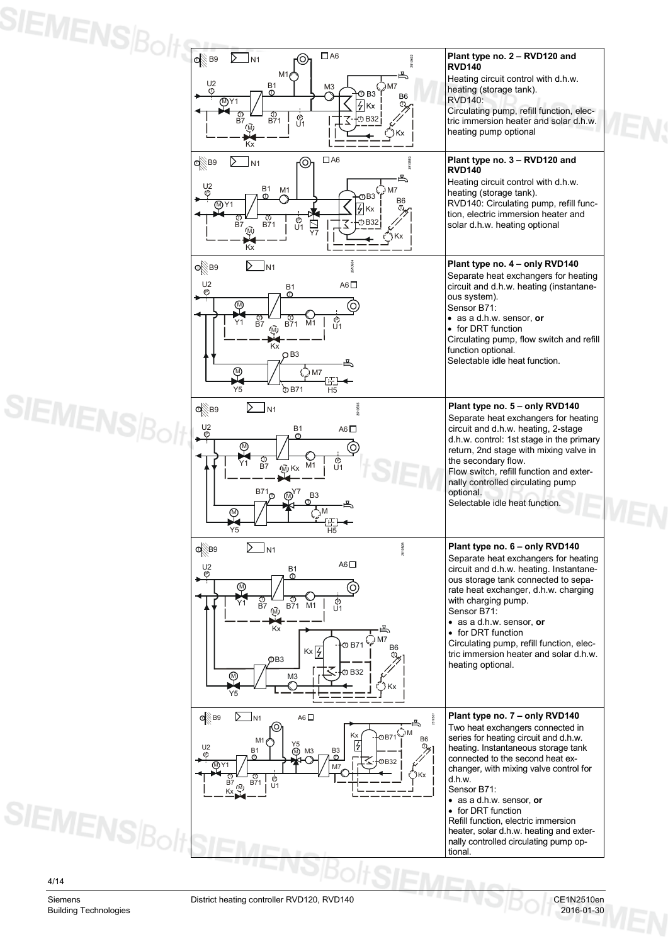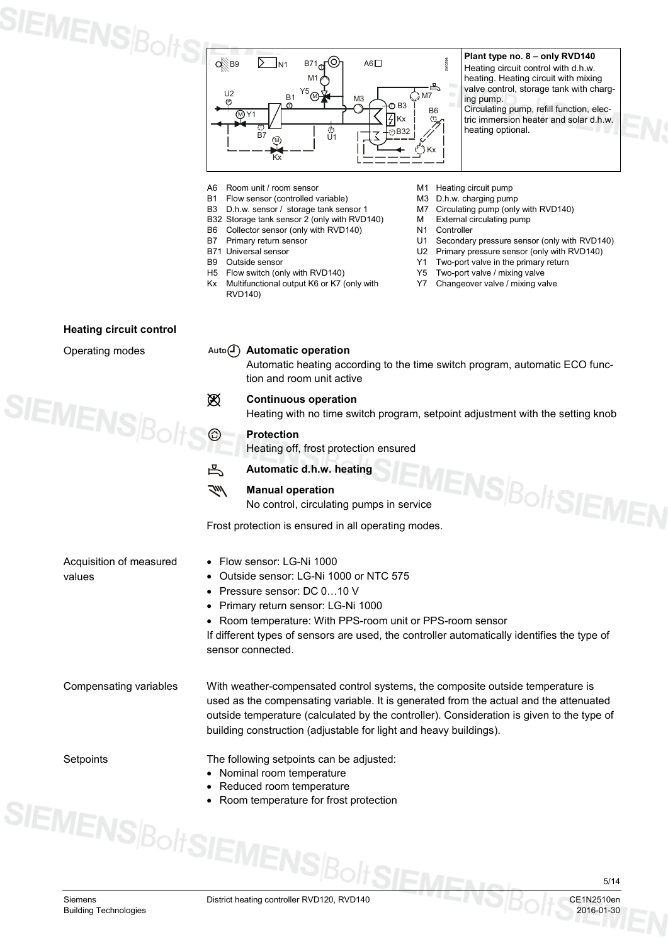

**Plant type no. 8 – only RVD140** Heating circuit control with d.h.w. heating. Heating circuit with mixing valve control, storage tank with charging pump. Circulating pump, refill function, electric immersion heater and solar d.h.w. heating optional.

- 
- A6 Room unit / room sensor<br>
B1 Flow sensor (controlled variable) M3 D.h.w. charging pump B1 Flow sensor (controlled variable) M3 D.h.w. charging pump<br>
B3 D.h.w. sensor / storage tank sensor 1 M7 Circulating pump (only with RVD140)
- D.h.w. sensor / storage tank sensor 1 M7 Circulating pump (only wit<br>Storage tank sensor 2 (only with RVD140) M External circulating pump
- B32 Storage tank sensor 2 (only with RVD140) M External circulation of B6 Collector sensor (only with RVD140)
- B6 Collector sensor (only with RVD140) N1<br>B7 Primary return sensor U1
- 
- 
- 
- 
- H5 Flow switch (only with RVD140)<br>Kx Multifunctional output K6 or K7 (only with Y7 Multifunctional output K6 or K7 (only with RVD140)
- 
- 
- 
- 
- 
- B7 Primary return sensor U1 Secondary pressure sensor (only with RVD140)<br>B71 Universal sensor U2 Primary pressure sensor (only with RVD140)
- B71 Universal sensor **EXECUTE:** U2 Primary pressure sensor (only with RVD140)<br>B9 Outside sensor **EXECUTE:** Two-port valve in the primary return
	- Y1 Two-port valve in the primary return<br>Y5 Two-port valve / mixing valve
	-
	- Changeover valve / mixing valve

| <b>Heating circuit control</b>    |    |                                                                                                                                                                                                                                                                                                                                           |
|-----------------------------------|----|-------------------------------------------------------------------------------------------------------------------------------------------------------------------------------------------------------------------------------------------------------------------------------------------------------------------------------------------|
| Operating modes                   |    | Auto $\left(\overline{I}\right)$ Automatic operation<br>Automatic heating according to the time switch program, automatic ECO func-<br>tion and room unit active                                                                                                                                                                          |
|                                   | 逫  | <b>Continuous operation</b><br>Heating with no time switch program, setpoint adjustment with the setting knob                                                                                                                                                                                                                             |
| $\mathsf{EMENS}_{\mathsf{BoltS}}$ | ◎  | <b>Protection</b><br>Heating off, frost protection ensured                                                                                                                                                                                                                                                                                |
|                                   | 凸  | Automatic d.h.w. heating                                                                                                                                                                                                                                                                                                                  |
|                                   | ブリ | <b>IEMENS BoltSIEME</b><br><b>Manual operation</b><br>No control, circulating pumps in service                                                                                                                                                                                                                                            |
|                                   |    | Frost protection is ensured in all operating modes.                                                                                                                                                                                                                                                                                       |
| Acquisition of measured<br>values |    | • Flow sensor: LG-Ni 1000<br>• Outside sensor: LG-Ni 1000 or NTC 575<br>• Pressure sensor: DC 010 V<br>• Primary return sensor: LG-Ni 1000<br>• Room temperature: With PPS-room unit or PPS-room sensor<br>If different types of sensors are used, the controller automatically identifies the type of<br>sensor connected.               |
| Compensating variables            |    | With weather-compensated control systems, the composite outside temperature is<br>used as the compensating variable. It is generated from the actual and the attenuated<br>outside temperature (calculated by the controller). Consideration is given to the type of<br>building construction (adjustable for light and heavy buildings). |
| Setpoints                         |    | The following setpoints can be adjusted:<br>• Nominal room temperature<br>Reduced room temperature<br>Room temperature for frost protection                                                                                                                                                                                               |
|                                   |    | EMENS BOLSIEMENS DO LOIRE                                                                                                                                                                                                                                                                                                                 |

Siemens District heating controller RVD120, RVD140<br>Building Technologies 2016-01-30

 $\#S$ IE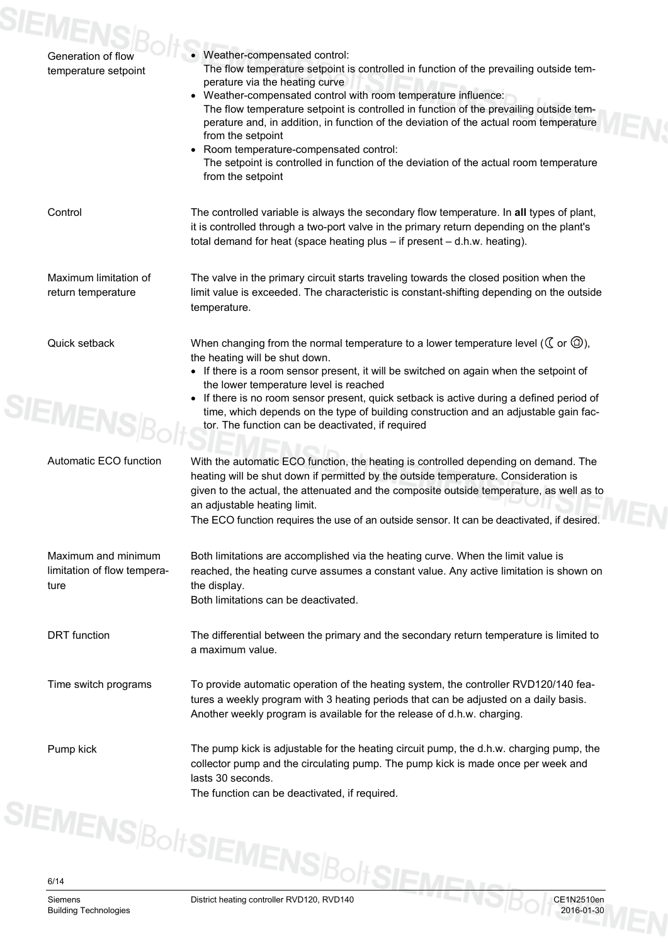| Generation of flow<br>temperature setpoint                 | • Weather-compensated control:<br>The flow temperature setpoint is controlled in function of the prevailing outside tem-<br>perature via the heating curve<br>• Weather-compensated control with room temperature influence:<br>The flow temperature setpoint is controlled in function of the prevailing outside tem-<br>perature and, in addition, in function of the deviation of the actual room temperature<br>from the setpoint<br>• Room temperature-compensated control:<br>The setpoint is controlled in function of the deviation of the actual room temperature<br>from the setpoint |
|------------------------------------------------------------|-------------------------------------------------------------------------------------------------------------------------------------------------------------------------------------------------------------------------------------------------------------------------------------------------------------------------------------------------------------------------------------------------------------------------------------------------------------------------------------------------------------------------------------------------------------------------------------------------|
| Control                                                    | The controlled variable is always the secondary flow temperature. In all types of plant,<br>it is controlled through a two-port valve in the primary return depending on the plant's<br>total demand for heat (space heating plus - if present - d.h.w. heating).                                                                                                                                                                                                                                                                                                                               |
| Maximum limitation of<br>return temperature                | The valve in the primary circuit starts traveling towards the closed position when the<br>limit value is exceeded. The characteristic is constant-shifting depending on the outside<br>temperature.                                                                                                                                                                                                                                                                                                                                                                                             |
| Quick setback<br><b>SIEMENS</b>                            | When changing from the normal temperature to a lower temperature level ( $\mathbb C$ or $\mathbb \widehat{\otimes}$ ),<br>the heating will be shut down.<br>• If there is a room sensor present, it will be switched on again when the setpoint of<br>the lower temperature level is reached<br>• If there is no room sensor present, quick setback is active during a defined period of<br>time, which depends on the type of building construction and an adjustable gain fac-<br>tor. The function can be deactivated, if required                                                           |
| Automatic ECO function                                     | With the automatic ECO function, the heating is controlled depending on demand. The<br>heating will be shut down if permitted by the outside temperature. Consideration is<br>given to the actual, the attenuated and the composite outside temperature, as well as to<br>an adjustable heating limit.<br>The ECO function requires the use of an outside sensor. It can be deactivated, if desired.                                                                                                                                                                                            |
| Maximum and minimum<br>limitation of flow tempera-<br>ture | Both limitations are accomplished via the heating curve. When the limit value is<br>reached, the heating curve assumes a constant value. Any active limitation is shown on<br>the display.<br>Both limitations can be deactivated.                                                                                                                                                                                                                                                                                                                                                              |
| <b>DRT</b> function                                        | The differential between the primary and the secondary return temperature is limited to<br>a maximum value.                                                                                                                                                                                                                                                                                                                                                                                                                                                                                     |
| Time switch programs                                       | To provide automatic operation of the heating system, the controller RVD120/140 fea-<br>tures a weekly program with 3 heating periods that can be adjusted on a daily basis.<br>Another weekly program is available for the release of d.h.w. charging.                                                                                                                                                                                                                                                                                                                                         |
| Pump kick                                                  | The pump kick is adjustable for the heating circuit pump, the d.h.w. charging pump, the<br>collector pump and the circulating pump. The pump kick is made once per week and<br>lasts 30 seconds.<br>The function can be deactivated, if required.                                                                                                                                                                                                                                                                                                                                               |
|                                                            | SIEMENS BoltSIEMENS BoltSIEN                                                                                                                                                                                                                                                                                                                                                                                                                                                                                                                                                                    |
|                                                            |                                                                                                                                                                                                                                                                                                                                                                                                                                                                                                                                                                                                 |
| Siemens<br><b>Building Technologies</b>                    | CE1N2510en<br>District heating controller RVD120, RVD140<br>2016-01-30                                                                                                                                                                                                                                                                                                                                                                                                                                                                                                                          |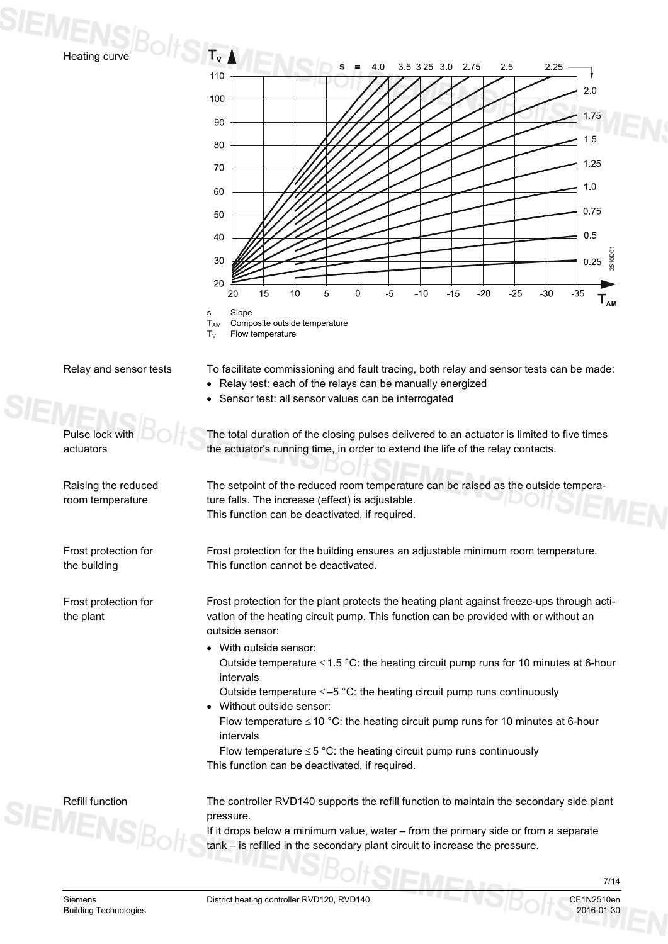

Relay and sensor tests

Pulse lock with actuators

Raising the reduced room temperature

Frost protection for

Frost protection for

the building

the plant



 $T_{AM}$  Composite outside temperature<br> $T_{V}$  Flow temperature Flow temperature

To facilitate commissioning and fault tracing, both relay and sensor tests can be made:

- Relay test: each of the relays can be manually energized
- Sensor test: all sensor values can be interrogated

The total duration of the closing pulses delivered to an actuator is limited to five times the actuator's running time, in order to extend the life of the relay contacts.

The setpoint of the reduced room temperature can be raised as the outside temperature falls. The increase (effect) is adjustable. This function can be deactivated, if required.

Frost protection for the building ensures an adjustable minimum room temperature. This function cannot be deactivated.

Frost protection for the plant protects the heating plant against freeze-ups through activation of the heating circuit pump. This function can be provided with or without an outside sensor:

- With outside sensor: Outside temperature  $\leq$  1.5 °C: the heating circuit pump runs for 10 minutes at 6-hour intervals
- Outside temperature  $\leq -5$  °C: the heating circuit pump runs continuously • Without outside sensor:
	- Flow temperature  $\leq$  10 °C: the heating circuit pump runs for 10 minutes at 6-hour intervals

Flow temperature  $\leq$  5 °C: the heating circuit pump runs continuously This function can be deactivated, if required.

Refill function

The controller RVD140 supports the refill function to maintain the secondary side plant pressure.

If it drops below a minimum value, water – from the primary side or from a separate tank – is refilled in the secondary plant circuit to increase the pressure.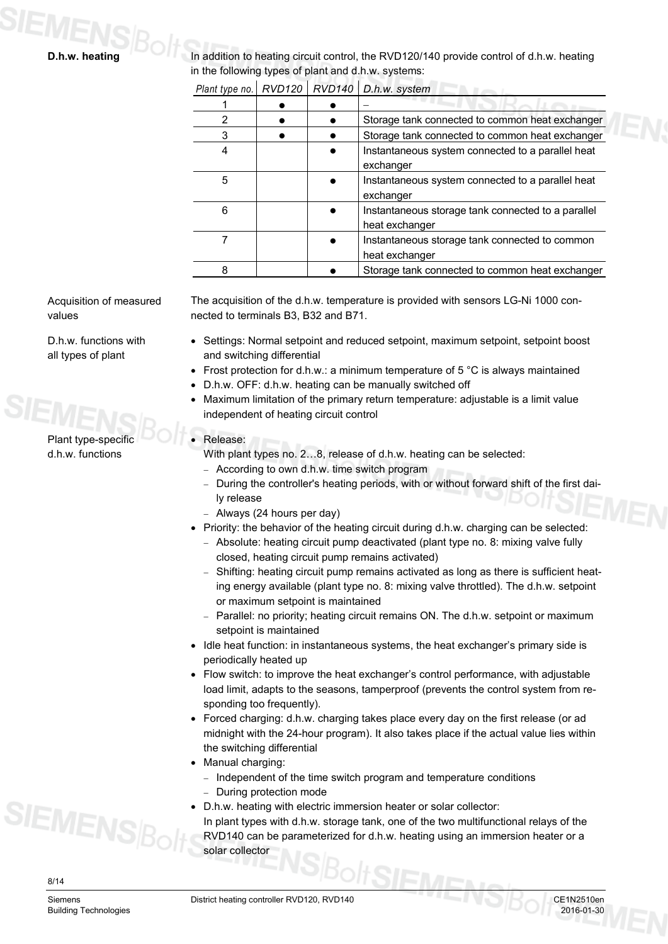In addition to heating circuit control, the RVD120/140 provide control of d.h.w. heating in the following types of plant and d.h.w. systems: *Plant type no. RVD120 RVD140 D.h.w. system* 1 −

|   |  | Storage tank connected to common heat exchanger                      |
|---|--|----------------------------------------------------------------------|
|   |  | Storage tank connected to common heat exchanger                      |
|   |  | Instantaneous system connected to a parallel heat<br>exchanger       |
| 5 |  | Instantaneous system connected to a parallel heat<br>exchanger       |
| 6 |  | Instantaneous storage tank connected to a parallel<br>heat exchanger |
|   |  | Instantaneous storage tank connected to common<br>heat exchanger     |
|   |  | Storage tank connected to common heat exchanger                      |

Acquisition of measured values

D.h.w. functions with all types of plant

The acquisition of the d.h.w. temperature is provided with sensors LG-Ni 1000 connected to terminals B3, B32 and B71.

- Settings: Normal setpoint and reduced setpoint, maximum setpoint, setpoint boost and switching differential
- Frost protection for d.h.w.: a minimum temperature of 5  $\degree$ C is always maintained
- D.h.w. OFF: d.h.w. heating can be manually switched off
- Maximum limitation of the primary return temperature: adjustable is a limit value independent of heating circuit control
- Release:

With plant types no. 2…8, release of d.h.w. heating can be selected:

- − According to own d.h.w. time switch program
- − During the controller's heating periods, with or without forward shift of the first daily release
- − Always (24 hours per day)
- Priority: the behavior of the heating circuit during d.h.w. charging can be selected:
	- − Absolute: heating circuit pump deactivated (plant type no. 8: mixing valve fully closed, heating circuit pump remains activated)
	- − Shifting: heating circuit pump remains activated as long as there is sufficient heating energy available (plant type no. 8: mixing valve throttled). The d.h.w. setpoint or maximum setpoint is maintained
	- − Parallel: no priority; heating circuit remains ON. The d.h.w. setpoint or maximum setpoint is maintained
- Idle heat function: in instantaneous systems, the heat exchanger's primary side is periodically heated up
- Flow switch: to improve the heat exchanger's control performance, with adjustable load limit, adapts to the seasons, tamperproof (prevents the control system from responding too frequently).
- Forced charging: d.h.w. charging takes place every day on the first release (or ad midnight with the 24-hour program). It also takes place if the actual value lies within the switching differential
- Manual charging:
	- − Independent of the time switch program and temperature conditions During protection mode
- D.h.w. heating with electric immersion heater or solar collector:

In plant types with d.h.w. storage tank, one of the two multifunctional relays of the RVD140 can be parameterized for d.h.w. heating using an immersion heater or a solar collector



**SIEMENS**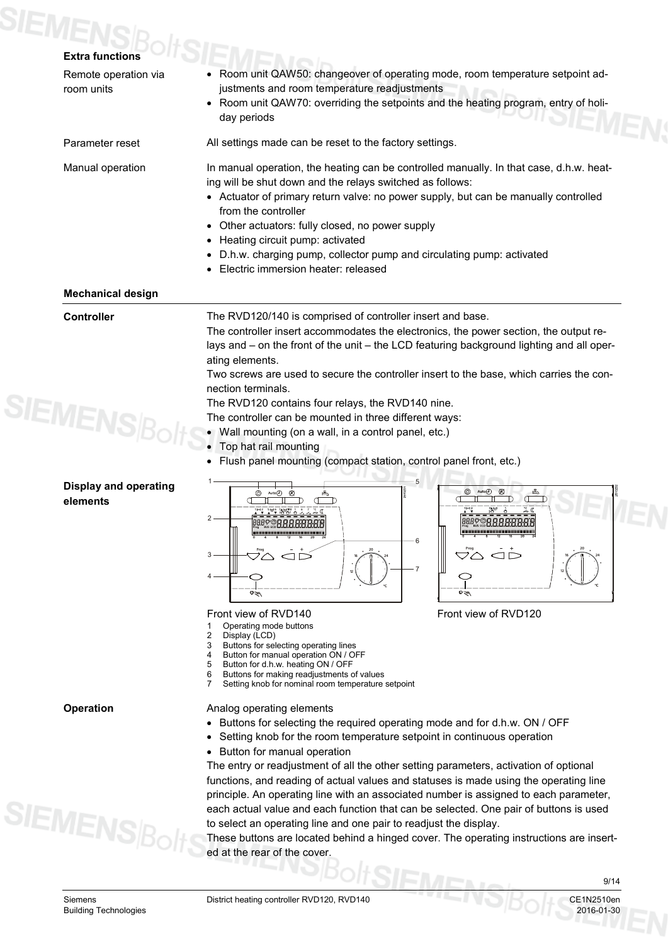# **SIEMENS**BoltS

| <b>Extra functions</b>                   |                                                                                                                                                                                                                                                                                                                                                                                                                                           |  |  |  |  |
|------------------------------------------|-------------------------------------------------------------------------------------------------------------------------------------------------------------------------------------------------------------------------------------------------------------------------------------------------------------------------------------------------------------------------------------------------------------------------------------------|--|--|--|--|
| Remote operation via<br>room units       | Room unit QAW50: changeover of operating mode, room temperature setpoint ad-<br>justments and room temperature readjustments<br>• Room unit QAW70: overriding the setpoints and the heating program, entry of holi-<br>day periods                                                                                                                                                                                                        |  |  |  |  |
| Parameter reset                          | All settings made can be reset to the factory settings.                                                                                                                                                                                                                                                                                                                                                                                   |  |  |  |  |
|                                          | In manual operation, the heating can be controlled manually. In that case, d.h.w. heat-                                                                                                                                                                                                                                                                                                                                                   |  |  |  |  |
| Manual operation                         | ing will be shut down and the relays switched as follows:                                                                                                                                                                                                                                                                                                                                                                                 |  |  |  |  |
|                                          | • Actuator of primary return valve: no power supply, but can be manually controlled<br>from the controller                                                                                                                                                                                                                                                                                                                                |  |  |  |  |
|                                          | • Other actuators: fully closed, no power supply                                                                                                                                                                                                                                                                                                                                                                                          |  |  |  |  |
|                                          | • Heating circuit pump: activated                                                                                                                                                                                                                                                                                                                                                                                                         |  |  |  |  |
|                                          | • D.h.w. charging pump, collector pump and circulating pump: activated<br>Electric immersion heater: released                                                                                                                                                                                                                                                                                                                             |  |  |  |  |
| <b>Mechanical design</b>                 |                                                                                                                                                                                                                                                                                                                                                                                                                                           |  |  |  |  |
|                                          | The RVD120/140 is comprised of controller insert and base.<br>The controller insert accommodates the electronics, the power section, the output re-<br>lays and - on the front of the unit - the LCD featuring background lighting and all oper-<br>ating elements.<br>Two screws are used to secure the controller insert to the base, which carries the con-<br>nection terminals.<br>The RVD120 contains four relays, the RVD140 nine. |  |  |  |  |
| <b>MENSB</b>                             | The controller can be mounted in three different ways:<br>• Wall mounting (on a wall, in a control panel, etc.)                                                                                                                                                                                                                                                                                                                           |  |  |  |  |
|                                          | Top hat rail mounting                                                                                                                                                                                                                                                                                                                                                                                                                     |  |  |  |  |
|                                          | Flush panel mounting (compact station, control panel front, etc.)                                                                                                                                                                                                                                                                                                                                                                         |  |  |  |  |
| <b>Display and operating</b><br>elements | 5<br>$^{\circledR}$<br>⊚<br>Aut <sub>0</sub> (1)<br>$\overline{2}$<br>20<br>VA.<br>3<br>$\overline{7}$<br>o≤w<br>©≈m                                                                                                                                                                                                                                                                                                                      |  |  |  |  |
|                                          | Front view of RVD120<br>Front view of RVD140<br>Operating mode buttons<br>2<br>Display (LCD)<br>Buttons for selecting operating lines<br>3<br>Button for manual operation ON / OFF<br>4<br>Button for d.h.w. heating ON / OFF<br>5<br>Buttons for making readjustments of values<br>6                                                                                                                                                     |  |  |  |  |

**Operation** 

**SIEMENS**Bol

Analog operating elements

- Buttons for selecting the required operating mode and for d.h.w. ON / OFF
- Setting knob for the room temperature setpoint in continuous operation
- Button for manual operation

7 Setting knob for nominal room temperature setpoint

The entry or readjustment of all the other setting parameters, activation of optional functions, and reading of actual values and statuses is made using the operating line principle. An operating line with an associated number is assigned to each parameter, each actual value and each function that can be selected. One pair of buttons is used to select an operating line and one pair to readjust the display.

These buttons are located behind a hinged cover. The operating instructions are inserted at the rear of the cover.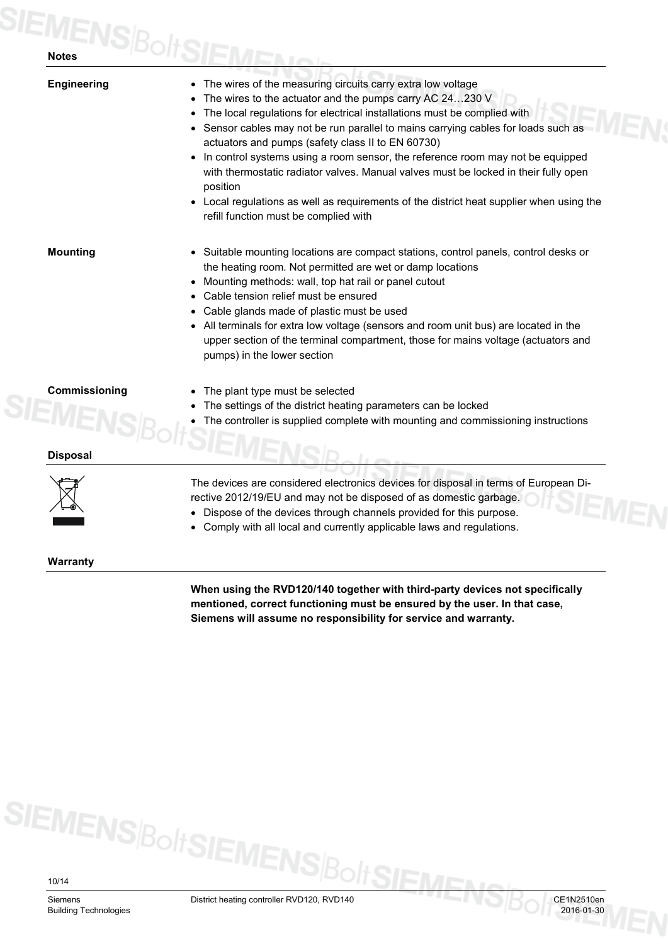| <b>Engineering</b>             | The wires of the measuring circuits carry extra low voltage<br>The wires to the actuator and the pumps carry AC 24230 V<br>The local regulations for electrical installations must be complied with<br>• Sensor cables may not be run parallel to mains carrying cables for loads such as<br>actuators and pumps (safety class II to EN 60730)<br>• In control systems using a room sensor, the reference room may not be equipped<br>with thermostatic radiator valves. Manual valves must be locked in their fully open<br>position<br>• Local regulations as well as requirements of the district heat supplier when using the<br>refill function must be complied with |
|--------------------------------|----------------------------------------------------------------------------------------------------------------------------------------------------------------------------------------------------------------------------------------------------------------------------------------------------------------------------------------------------------------------------------------------------------------------------------------------------------------------------------------------------------------------------------------------------------------------------------------------------------------------------------------------------------------------------|
| <b>Mounting</b>                | • Suitable mounting locations are compact stations, control panels, control desks or<br>the heating room. Not permitted are wet or damp locations<br>• Mounting methods: wall, top hat rail or panel cutout<br>Cable tension relief must be ensured<br>Cable glands made of plastic must be used<br>• All terminals for extra low voltage (sensors and room unit bus) are located in the<br>upper section of the terminal compartment, those for mains voltage (actuators and<br>pumps) in the lower section                                                                                                                                                               |
| Commissioning<br><b>SIEMEI</b> | The plant type must be selected<br>The settings of the district heating parameters can be locked<br>The controller is supplied complete with mounting and commissioning instructions                                                                                                                                                                                                                                                                                                                                                                                                                                                                                       |
| <b>Disposal</b>                |                                                                                                                                                                                                                                                                                                                                                                                                                                                                                                                                                                                                                                                                            |
| ╱┕╼╝╲                          | The devices are considered electronics devices for disposal in terms of European Di-<br>rective 2012/19/EU and may not be disposed of as domestic garbage.<br>Dispose of the devices through channels provided for this purpose.<br>Comply with all local and currently applicable laws and regulations.                                                                                                                                                                                                                                                                                                                                                                   |
| <b>Warranty</b>                |                                                                                                                                                                                                                                                                                                                                                                                                                                                                                                                                                                                                                                                                            |

**When using the RVD120/140 together with third-party devices not specifically mentioned, correct functioning must be ensured by the user. In that case, Siemens will assume no responsibility for service and warranty.**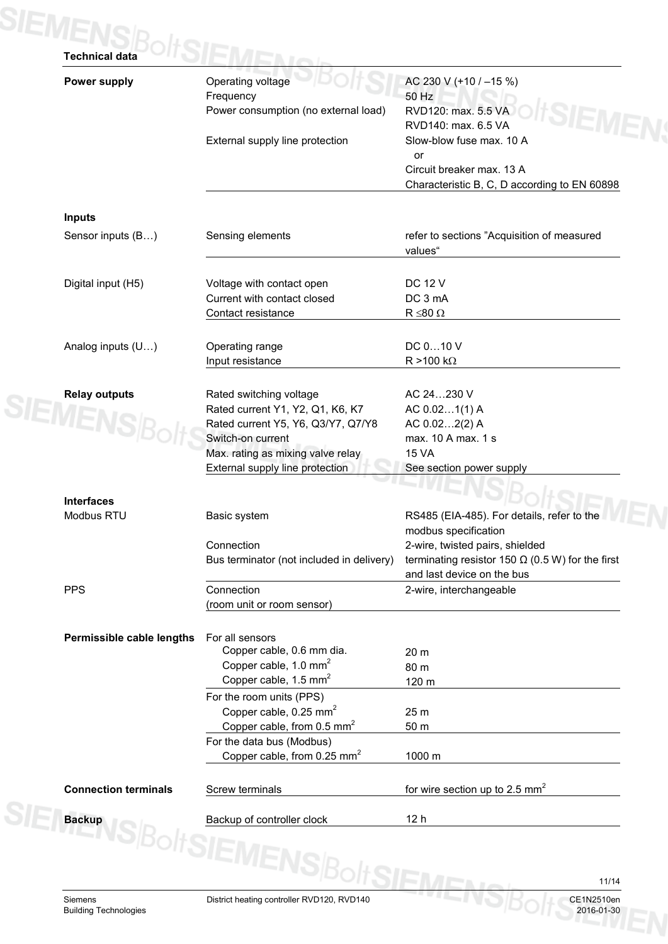| <b>Power supply</b>         | Operating voltage                         | AC 230 V (+10 / -15 %)                                                                |
|-----------------------------|-------------------------------------------|---------------------------------------------------------------------------------------|
|                             | Frequency                                 | 50 Hz                                                                                 |
|                             | Power consumption (no external load)      | RVD120: max. 5.5 VA<br>RVD140: max. 6.5 VA                                            |
|                             | External supply line protection           | Slow-blow fuse max. 10 A                                                              |
|                             |                                           | or                                                                                    |
|                             |                                           | Circuit breaker max. 13 A                                                             |
|                             |                                           | Characteristic B, C, D according to EN 60898                                          |
| <b>Inputs</b>               |                                           |                                                                                       |
| Sensor inputs (B)           | Sensing elements                          | refer to sections "Acquisition of measured                                            |
|                             |                                           | values"                                                                               |
| Digital input (H5)          | Voltage with contact open                 | <b>DC 12 V</b>                                                                        |
|                             | Current with contact closed               | DC 3 mA                                                                               |
|                             | Contact resistance                        | $R \le 80 \Omega$                                                                     |
| Analog inputs (U)           | Operating range                           | DC 010 V                                                                              |
|                             | Input resistance                          | $R > 100 k\Omega$                                                                     |
|                             |                                           |                                                                                       |
| <b>Relay outputs</b>        | Rated switching voltage                   | AC 24230 V                                                                            |
| <b>IEMENS</b>               | Rated current Y1, Y2, Q1, K6, K7          | AC 0.021(1) A                                                                         |
|                             | Rated current Y5, Y6, Q3/Y7, Q7/Y8        | AC 0.022(2) A                                                                         |
|                             | Switch-on current                         | max. 10 A max. 1 s                                                                    |
|                             | Max. rating as mixing valve relay         | <b>15 VA</b>                                                                          |
|                             | External supply line protection           | See section power supply                                                              |
| <b>Interfaces</b>           |                                           |                                                                                       |
| Modbus RTU                  | Basic system                              | RS485 (EIA-485). For details, refer to the                                            |
|                             |                                           | modbus specification                                                                  |
|                             | Connection                                | 2-wire, twisted pairs, shielded                                                       |
|                             | Bus terminator (not included in delivery) | terminating resistor 150 $\Omega$ (0.5 W) for the first<br>and last device on the bus |
| <b>PPS</b>                  | Connection                                | 2-wire, interchangeable                                                               |
|                             | (room unit or room sensor)                |                                                                                       |
| Permissible cable lengths   | For all sensors                           |                                                                                       |
|                             | Copper cable, 0.6 mm dia.                 | 20 m                                                                                  |
|                             | Copper cable, $1.0 \text{ mm}^2$          | 80 m                                                                                  |
|                             | Copper cable, 1.5 mm <sup>2</sup>         | 120 m                                                                                 |
|                             | For the room units (PPS)                  |                                                                                       |
|                             | Copper cable, $0.25$ mm <sup>2</sup>      | 25 m                                                                                  |
|                             | Copper cable, from 0.5 mm <sup>2</sup>    | 50 m                                                                                  |
|                             | For the data bus (Modbus)                 |                                                                                       |
|                             | Copper cable, from 0.25 mm <sup>2</sup>   | 1000 m                                                                                |
| <b>Connection terminals</b> | Screw terminals                           | for wire section up to 2.5 $mm2$                                                      |
|                             |                                           | 12 <sub>h</sub>                                                                       |
|                             | Backup VS Bolt SIEMENS BC                 |                                                                                       |
|                             |                                           |                                                                                       |
|                             |                                           |                                                                                       |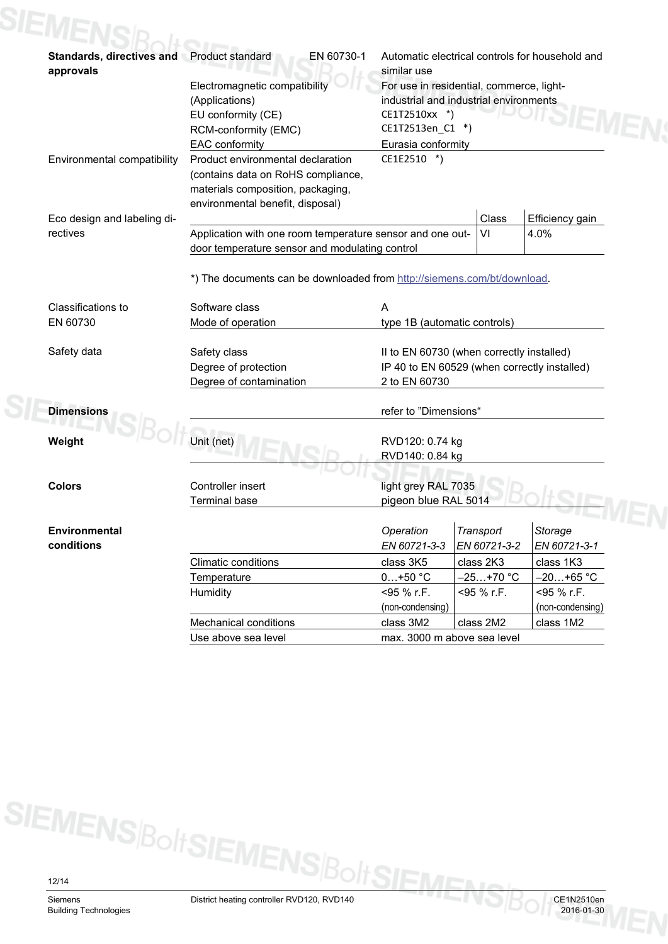# **SIEME Standards, directives and** Product standard EN 60730-1 Automatic electrical controls for household and **approvals** similar use Electromagnetic compatibility

|                             | Electromagnetic compatibility<br>For use in residential, commerce, light- |                                              |              |                  |  |
|-----------------------------|---------------------------------------------------------------------------|----------------------------------------------|--------------|------------------|--|
|                             | (Applications)                                                            | industrial and industrial environments       |              |                  |  |
|                             | EU conformity (CE)                                                        | CE1T2510xx *)                                |              |                  |  |
|                             | RCM-conformity (EMC)                                                      | CE1T2513en_C1 *)                             |              |                  |  |
|                             | EAC conformity                                                            | Eurasia conformity                           |              |                  |  |
| Environmental compatibility | Product environmental declaration                                         | CE1E2510 *)                                  |              |                  |  |
|                             | (contains data on RoHS compliance,                                        |                                              |              |                  |  |
|                             | materials composition, packaging,                                         |                                              |              |                  |  |
|                             | environmental benefit, disposal)                                          |                                              |              |                  |  |
| Eco design and labeling di- |                                                                           |                                              | Class        | Efficiency gain  |  |
| rectives                    | Application with one room temperature sensor and one out-                 |                                              | VI           | 4.0%             |  |
|                             | door temperature sensor and modulating control                            |                                              |              |                  |  |
|                             |                                                                           |                                              |              |                  |  |
|                             | *) The documents can be downloaded from http://siemens.com/bt/download.   |                                              |              |                  |  |
| Classifications to          | Software class                                                            | A                                            |              |                  |  |
| EN 60730                    | Mode of operation                                                         | type 1B (automatic controls)                 |              |                  |  |
|                             |                                                                           |                                              |              |                  |  |
| Safety data                 | Safety class                                                              | II to EN 60730 (when correctly installed)    |              |                  |  |
|                             | Degree of protection                                                      | IP 40 to EN 60529 (when correctly installed) |              |                  |  |
|                             | Degree of contamination                                                   | 2 to EN 60730                                |              |                  |  |
|                             |                                                                           |                                              |              |                  |  |
| <b>Dimensions</b>           |                                                                           | refer to "Dimensions"                        |              |                  |  |
|                             |                                                                           |                                              |              |                  |  |
| Weight                      | Unit (net)                                                                | RVD120: 0.74 kg                              |              |                  |  |
|                             |                                                                           | RVD140: 0.84 kg                              |              |                  |  |
|                             |                                                                           |                                              |              |                  |  |
| <b>Colors</b>               | Controller insert                                                         | light grey RAL 7035                          |              |                  |  |
|                             | <b>Terminal base</b>                                                      | pigeon blue RAL 5014                         |              |                  |  |
|                             |                                                                           |                                              |              |                  |  |
| <b>Environmental</b>        |                                                                           | Operation                                    | Transport    | Storage          |  |
| conditions                  |                                                                           | EN 60721-3-3                                 | EN 60721-3-2 | EN 60721-3-1     |  |
|                             | <b>Climatic conditions</b>                                                | class 3K5                                    | class 2K3    | class 1K3        |  |
|                             | Temperature                                                               | $0+50$ °C                                    | $-25+70$ °C  | -20+65 °C        |  |
|                             | Humidity                                                                  | <95 % r.F.                                   | <95 % r.F.   | <95 % r.F.       |  |
|                             |                                                                           | (non-condensing)                             |              | (non-condensing) |  |
|                             | <b>Mechanical conditions</b>                                              | class 3M2                                    | class 2M2    | class 1M2        |  |
|                             | Use above sea level                                                       | max. 3000 m above sea level                  |              |                  |  |
|                             |                                                                           |                                              |              |                  |  |

SIEMENS<sup>Bolt</sup>SIEMENS<sup>Bo</sup>

/ts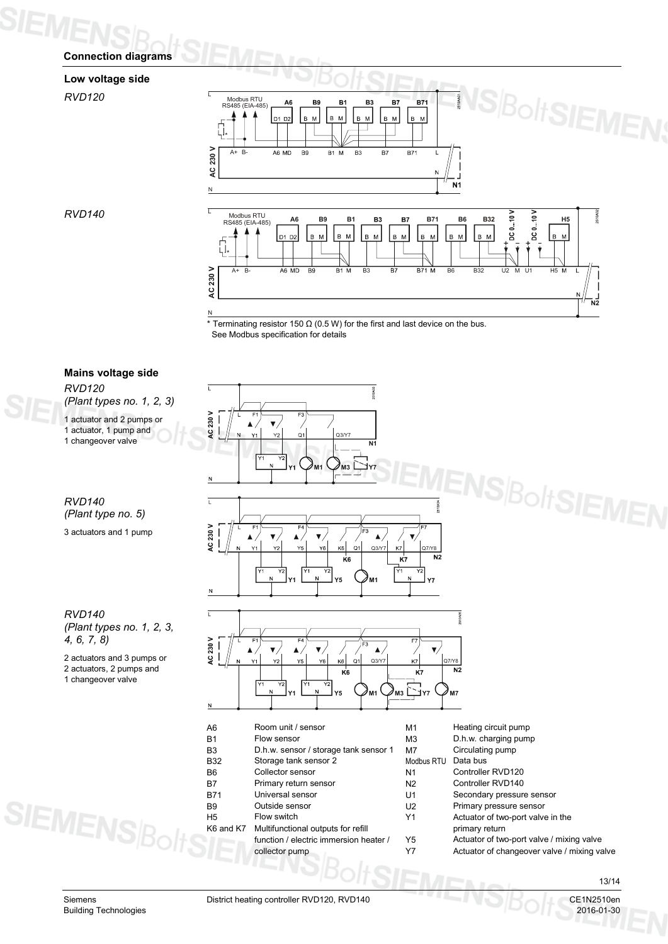# **Connection diagrams**

# **Low voltage side**

*RVD120*



 $*$  Terminating resistor 150  $\Omega$  (0.5 W) for the first and last device on the bus. See Modbus specification for details



*RVD140*

Building Technologies 2016-01-30

Siemens **District heating controller RVD120, RVD140** CE1N2510en CE1N2510en